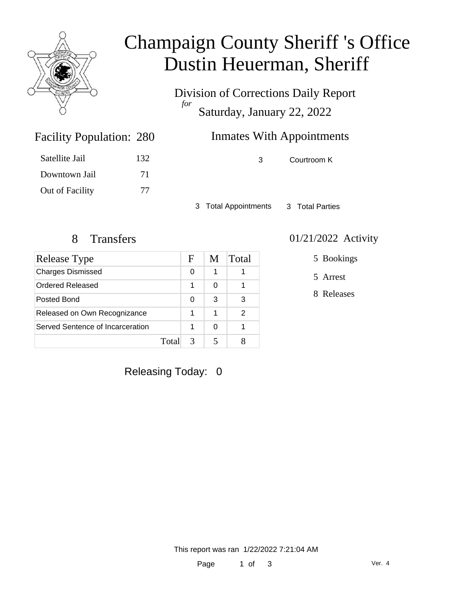

# Champaign County Sheriff 's Office Dustin Heuerman, Sheriff

Division of Corrections Daily Report *for* Saturday, January 22, 2022

## Inmates With Appointments

3 Courtroom K

3 Total Appointments 3 Total Parties

Facility Population: 280

Satellite Jail 132

Downtown Jail 71

Out of Facility 77

| Release Type                     |       | F | M | Total |
|----------------------------------|-------|---|---|-------|
| <b>Charges Dismissed</b>         |       | 0 | 1 |       |
| Ordered Released                 |       | 1 | 0 |       |
| Posted Bond                      |       | 0 | 3 | 3     |
| Released on Own Recognizance     |       | 1 | 1 | 2     |
| Served Sentence of Incarceration |       |   | 0 |       |
|                                  | Total |   |   |       |

#### 8 Transfers 01/21/2022 Activity

5 Bookings

5 Arrest

8 Releases

Releasing Today: 0

This report was ran 1/22/2022 7:21:04 AM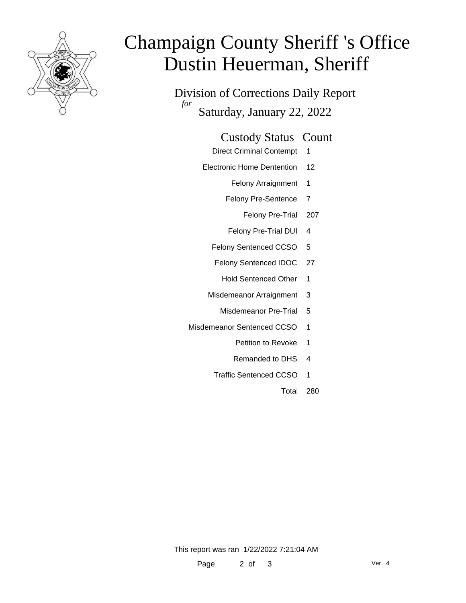

# Champaign County Sheriff 's Office Dustin Heuerman, Sheriff

Division of Corrections Daily Report *for* Saturday, January 22, 2022

#### Custody Status Count

- Direct Criminal Contempt 1
- Electronic Home Dentention 12
	- Felony Arraignment 1
	- Felony Pre-Sentence 7
		- Felony Pre-Trial 207
	- Felony Pre-Trial DUI 4
	- Felony Sentenced CCSO 5
	- Felony Sentenced IDOC 27
		- Hold Sentenced Other 1
	- Misdemeanor Arraignment 3
		- Misdemeanor Pre-Trial 5
- Misdemeanor Sentenced CCSO 1
	- Petition to Revoke 1
	- Remanded to DHS 4
	- Traffic Sentenced CCSO 1
		- Total 280

This report was ran 1/22/2022 7:21:04 AM